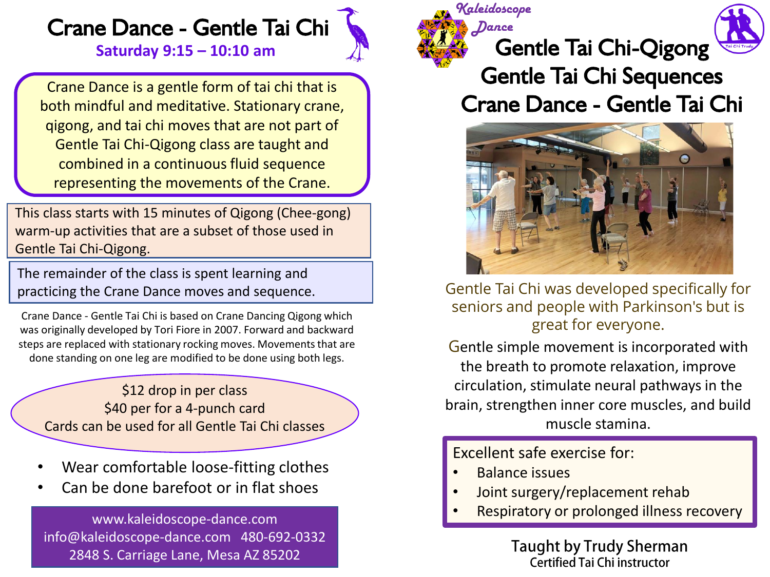## Crane Dance - Gentle Tai Chi **Saturday 9:15 – 10:10 am**

Crane Dance is a gentle form of tai chi that is both mindful and meditative. Stationary crane, qigong, and tai chi moves that are not part of Gentle Tai Chi-Qigong class are taught and combined in a continuous fluid sequence representing the movements of the Crane.

This class starts with 15 minutes of Qigong (Chee-gong) warm-up activities that are a subset of those used in Gentle Tai Chi-Qigong.

The remainder of the class is spent learning and practicing the Crane Dance moves and sequence.

Crane Dance - Gentle Tai Chi is based on Crane Dancing Qigong which was originally developed by Tori Fiore in 2007. Forward and backward steps are replaced with stationary rocking moves. Movements that are done standing on one leg are modified to be done using both legs.

\$12 drop in per class \$40 per for a 4-punch card Cards can be used for all Gentle Tai Chi classes

- Wear comfortable loose-fitting clothes
- Can be done barefoot or in flat shoes

www.kaleidoscope-dance.com info@kaleidoscope-dance.com 480-692-0332 2848 S. Carriage Lane, Mesa AZ 85202



*Dance*



## Gentle Tai Chi Sequences Crane Dance - Gentle Tai Chi



Gentle Tai Chi was developed specifically for seniors and people with Parkinson's but is great for everyone.

Gentle simple movement is incorporated with the breath to promote relaxation, improve circulation, stimulate neural pathways in the brain, strengthen inner core muscles, and build muscle stamina.

Excellent safe exercise for:

- Balance issues
- Joint surgery/replacement rehab
- Respiratory or prolonged illness recovery

**Taught by Trudy Sherman** Certified Tai Chi instructor